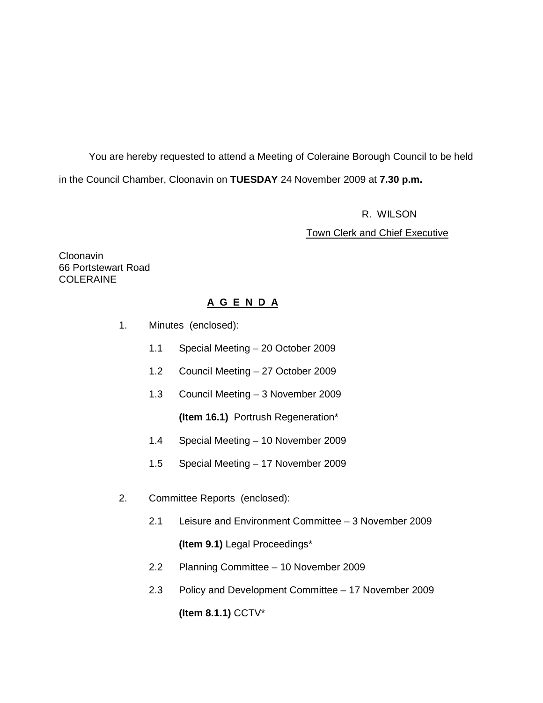You are hereby requested to attend a Meeting of Coleraine Borough Council to be held in the Council Chamber, Cloonavin on **TUESDAY** 24 November 2009 at **7.30 p.m.** 

R. WILSON

Town Clerk and Chief Executive

Cloonavin 66 Portstewart Road **COLERAINE** 

# **A G E N D A**

- 1. Minutes (enclosed):
	- 1.1 Special Meeting 20 October 2009
	- 1.2 Council Meeting 27 October 2009
	- 1.3 Council Meeting 3 November 2009

**(Item 16.1)** Portrush Regeneration\*

- 1.4 Special Meeting 10 November 2009
- 1.5 Special Meeting 17 November 2009
- 2. Committee Reports (enclosed):
	- 2.1 Leisure and Environment Committee 3 November 2009

**(Item 9.1)** Legal Proceedings\*

- 2.2 Planning Committee 10 November 2009
- 2.3 Policy and Development Committee 17 November 2009 **(Item 8.1.1)** CCTV\*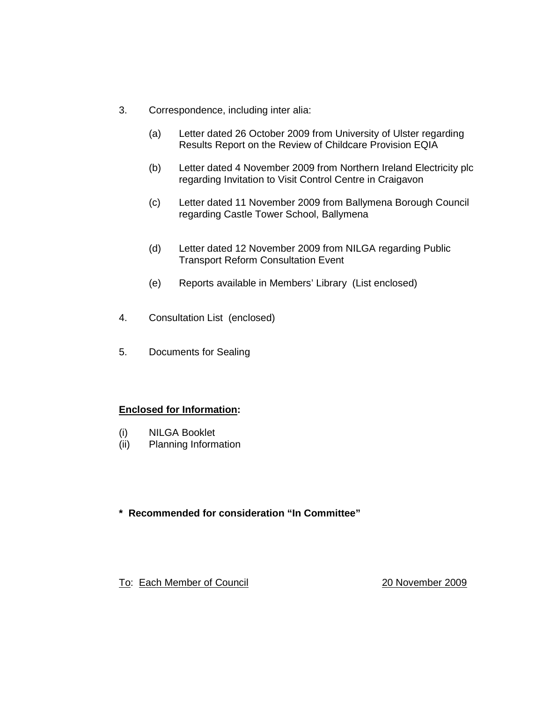- 3. Correspondence, including inter alia:
	- (a) Letter dated 26 October 2009 from University of Ulster regarding Results Report on the Review of Childcare Provision EQIA
	- (b) Letter dated 4 November 2009 from Northern Ireland Electricity plc regarding Invitation to Visit Control Centre in Craigavon
	- (c) Letter dated 11 November 2009 from Ballymena Borough Council regarding Castle Tower School, Ballymena
	- (d) Letter dated 12 November 2009 from NILGA regarding Public Transport Reform Consultation Event
	- (e) Reports available in Members' Library (List enclosed)
- 4. Consultation List (enclosed)
- 5. Documents for Sealing

# **Enclosed for Information:**

- (i) NILGA Booklet
- (ii) Planning Information

# **\* Recommended for consideration "In Committee"**

To: Each Member of Council 20 November 2009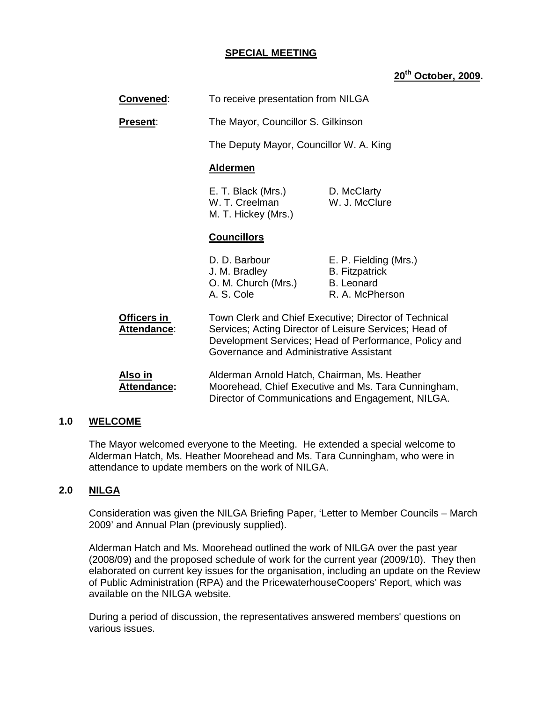#### **SPECIAL MEETING**

# **20th October, 2009.**

| <b>Convened:</b>                     | To receive presentation from NILGA                                  |                                                                                                                                                                          |
|--------------------------------------|---------------------------------------------------------------------|--------------------------------------------------------------------------------------------------------------------------------------------------------------------------|
| <b>Present:</b>                      | The Mayor, Councillor S. Gilkinson                                  |                                                                                                                                                                          |
|                                      | The Deputy Mayor, Councillor W. A. King                             |                                                                                                                                                                          |
|                                      | <b>Aldermen</b>                                                     |                                                                                                                                                                          |
|                                      | E. T. Black (Mrs.)<br>W. T. Creelman<br>M. T. Hickey (Mrs.)         | D. McClarty<br>W. J. McClure                                                                                                                                             |
|                                      | <b>Councillors</b>                                                  |                                                                                                                                                                          |
|                                      | D. D. Barbour<br>J. M. Bradley<br>O. M. Church (Mrs.)<br>A. S. Cole | E. P. Fielding (Mrs.)<br><b>B.</b> Fitzpatrick<br><b>B.</b> Leonard<br>R. A. McPherson                                                                                   |
| Officers in<br><b>Attendance:</b>    | Governance and Administrative Assistant                             | Town Clerk and Chief Executive; Director of Technical<br>Services; Acting Director of Leisure Services; Head of<br>Development Services; Head of Performance, Policy and |
| <u>Also in</u><br><b>Attendance:</b> | Alderman Arnold Hatch, Chairman, Ms. Heather                        | Moorehead, Chief Executive and Ms. Tara Cunningham,<br>Director of Communications and Engagement, NILGA.                                                                 |

#### **1.0 WELCOME**

The Mayor welcomed everyone to the Meeting. He extended a special welcome to Alderman Hatch, Ms. Heather Moorehead and Ms. Tara Cunningham, who were in attendance to update members on the work of NILGA.

#### **2.0 NILGA**

Consideration was given the NILGA Briefing Paper, 'Letter to Member Councils – March 2009' and Annual Plan (previously supplied).

Alderman Hatch and Ms. Moorehead outlined the work of NILGA over the past year (2008/09) and the proposed schedule of work for the current year (2009/10). They then elaborated on current key issues for the organisation, including an update on the Review of Public Administration (RPA) and the PricewaterhouseCoopers' Report, which was available on the NILGA website.

During a period of discussion, the representatives answered members' questions on various issues.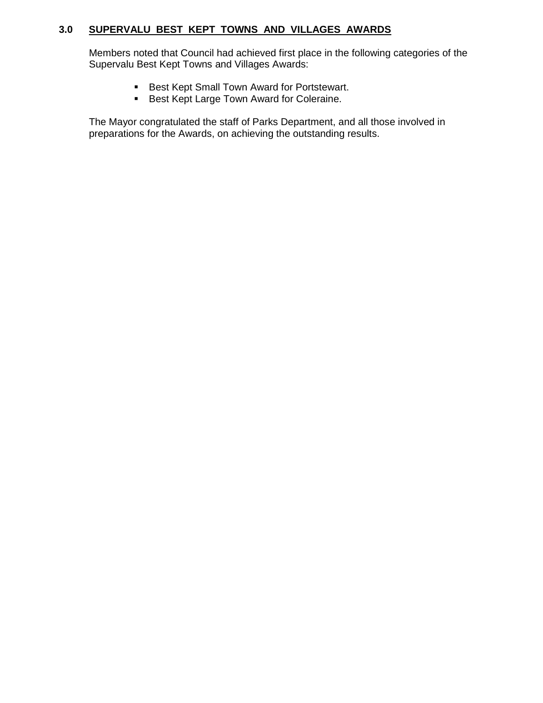# **3.0 SUPERVALU BEST KEPT TOWNS AND VILLAGES AWARDS**

Members noted that Council had achieved first place in the following categories of the Supervalu Best Kept Towns and Villages Awards:

- **Best Kept Small Town Award for Portstewart.**
- **Best Kept Large Town Award for Coleraine.**

The Mayor congratulated the staff of Parks Department, and all those involved in preparations for the Awards, on achieving the outstanding results.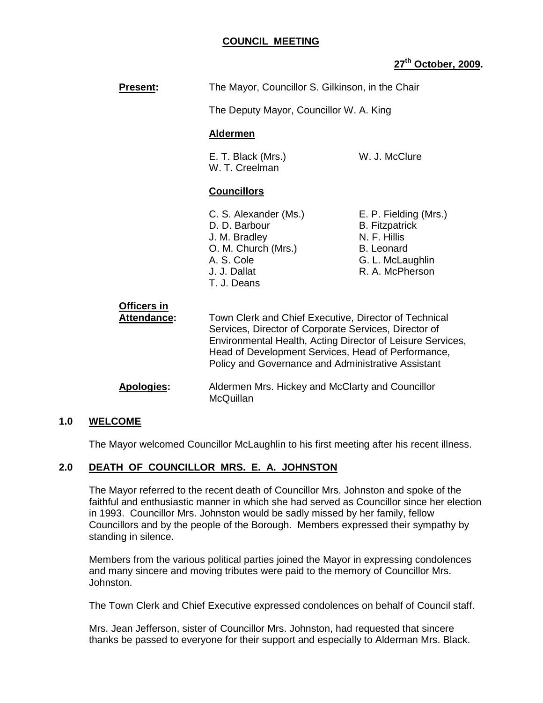# **COUNCIL MEETING**

# **27th October, 2009.**

| <b>Present:</b>                   | The Mayor, Councillor S. Gilkinson, in the Chair                                                                                                                                                                                                                                         |                                                                                                                            |
|-----------------------------------|------------------------------------------------------------------------------------------------------------------------------------------------------------------------------------------------------------------------------------------------------------------------------------------|----------------------------------------------------------------------------------------------------------------------------|
|                                   | The Deputy Mayor, Councillor W. A. King                                                                                                                                                                                                                                                  |                                                                                                                            |
|                                   | <b>Aldermen</b>                                                                                                                                                                                                                                                                          |                                                                                                                            |
|                                   | E. T. Black (Mrs.)<br>W. T. Creelman                                                                                                                                                                                                                                                     | W. J. McClure                                                                                                              |
|                                   | <b>Councillors</b>                                                                                                                                                                                                                                                                       |                                                                                                                            |
|                                   | C. S. Alexander (Ms.)<br>D. D. Barbour<br>J. M. Bradley<br>O. M. Church (Mrs.)<br>A. S. Cole<br>J. J. Dallat<br>T. J. Deans                                                                                                                                                              | E. P. Fielding (Mrs.)<br><b>B.</b> Fitzpatrick<br>N. F. Hillis<br><b>B.</b> Leonard<br>G. L. McLaughlin<br>R. A. McPherson |
| Officers in<br><b>Attendance:</b> | Town Clerk and Chief Executive, Director of Technical<br>Services, Director of Corporate Services, Director of<br>Environmental Health, Acting Director of Leisure Services,<br>Head of Development Services, Head of Performance,<br>Policy and Governance and Administrative Assistant |                                                                                                                            |
| <b>Apologies:</b>                 | Aldermen Mrs. Hickey and McClarty and Councillor<br>McQuillan                                                                                                                                                                                                                            |                                                                                                                            |

#### **1.0 WELCOME**

The Mayor welcomed Councillor McLaughlin to his first meeting after his recent illness.

#### **2.0 DEATH OF COUNCILLOR MRS. E. A. JOHNSTON**

 The Mayor referred to the recent death of Councillor Mrs. Johnston and spoke of the faithful and enthusiastic manner in which she had served as Councillor since her election in 1993. Councillor Mrs. Johnston would be sadly missed by her family, fellow Councillors and by the people of the Borough. Members expressed their sympathy by standing in silence.

 Members from the various political parties joined the Mayor in expressing condolences and many sincere and moving tributes were paid to the memory of Councillor Mrs. Johnston.

The Town Clerk and Chief Executive expressed condolences on behalf of Council staff.

 Mrs. Jean Jefferson, sister of Councillor Mrs. Johnston, had requested that sincere thanks be passed to everyone for their support and especially to Alderman Mrs. Black.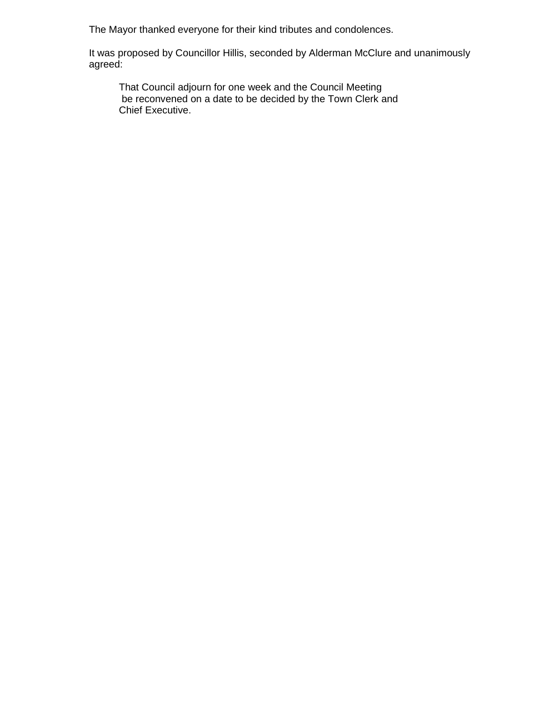The Mayor thanked everyone for their kind tributes and condolences.

 It was proposed by Councillor Hillis, seconded by Alderman McClure and unanimously agreed:

 That Council adjourn for one week and the Council Meeting be reconvened on a date to be decided by the Town Clerk and Chief Executive.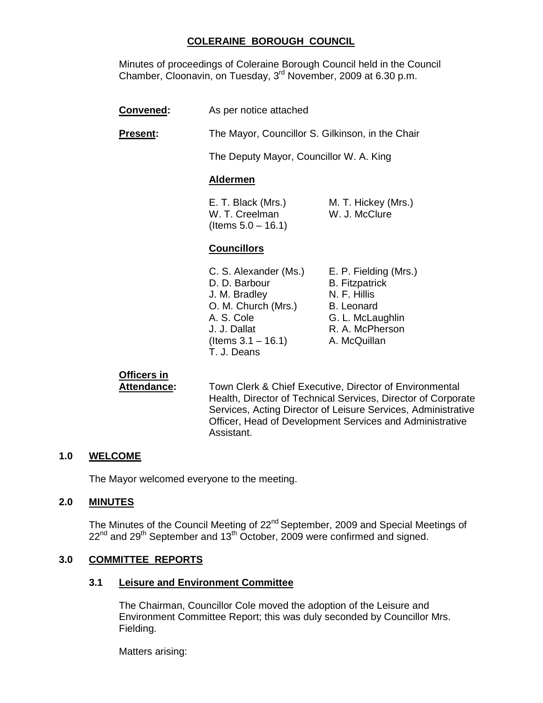# **COLERAINE BOROUGH COUNCIL**

Minutes of proceedings of Coleraine Borough Council held in the Council Chamber, Cloonavin, on Tuesday, 3<sup>rd</sup> November, 2009 at 6.30 p.m.

- **Convened:** As per notice attached
- **Present:** The Mayor, Councillor S. Gilkinson, in the Chair

The Deputy Mayor, Councillor W. A. King

#### **Aldermen**

E. T. Black (Mrs.) M. T. Hickey (Mrs.) W. T. Creelman W. J. McClure  $($  ltems  $5.0 - 16.1)$ 

#### **Councillors**

C. S. Alexander (Ms.) E. P. Fielding (Mrs.) D. D. Barbour B. Fitzpatrick J. M. Bradley N. F. Hillis O. M. Church (Mrs.) B. Leonard A. S. Cole **G. L. McLaughlin** J. J. Dallat R. A. McPherson  $($ ltems  $3.1 - 16.1)$  A. McQuillan T. J. Deans

# **Officers in**

**Attendance:** Town Clerk & Chief Executive, Director of Environmental Health, Director of Technical Services, Director of Corporate Services, Acting Director of Leisure Services, Administrative Officer, Head of Development Services and Administrative Assistant.

#### **1.0 WELCOME**

The Mayor welcomed everyone to the meeting.

#### **2.0 MINUTES**

The Minutes of the Council Meeting of 22<sup>nd</sup> September, 2009 and Special Meetings of  $22^{nd}$  and  $29^{th}$  September and  $13^{th}$  October, 2009 were confirmed and signed.

#### **3.0 COMMITTEE REPORTS**

#### **3.1 Leisure and Environment Committee**

 The Chairman, Councillor Cole moved the adoption of the Leisure and Environment Committee Report; this was duly seconded by Councillor Mrs. Fielding.

Matters arising: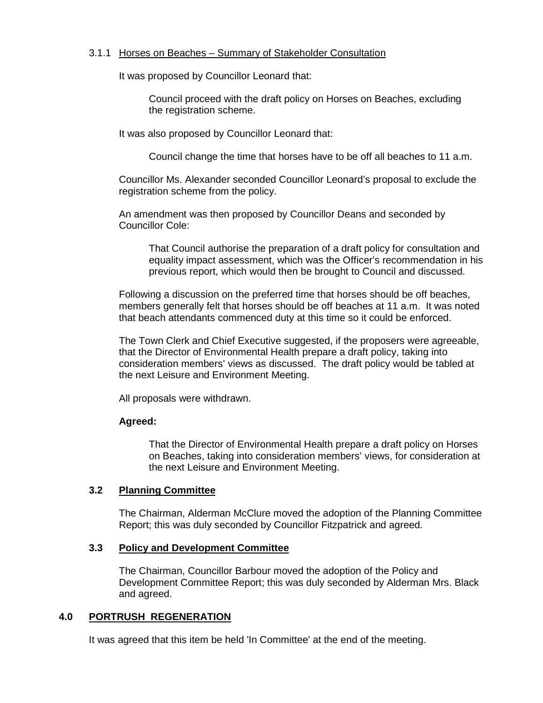#### 3.1.1 Horses on Beaches – Summary of Stakeholder Consultation

It was proposed by Councillor Leonard that:

 Council proceed with the draft policy on Horses on Beaches, excluding the registration scheme.

It was also proposed by Councillor Leonard that:

Council change the time that horses have to be off all beaches to 11 a.m.

Councillor Ms. Alexander seconded Councillor Leonard's proposal to exclude the registration scheme from the policy.

An amendment was then proposed by Councillor Deans and seconded by Councillor Cole:

That Council authorise the preparation of a draft policy for consultation and equality impact assessment, which was the Officer's recommendation in his previous report, which would then be brought to Council and discussed.

Following a discussion on the preferred time that horses should be off beaches, members generally felt that horses should be off beaches at 11 a.m. It was noted that beach attendants commenced duty at this time so it could be enforced.

The Town Clerk and Chief Executive suggested, if the proposers were agreeable, that the Director of Environmental Health prepare a draft policy, taking into consideration members' views as discussed. The draft policy would be tabled at the next Leisure and Environment Meeting.

All proposals were withdrawn.

#### **Agreed:**

That the Director of Environmental Health prepare a draft policy on Horses on Beaches, taking into consideration members' views, for consideration at the next Leisure and Environment Meeting.

#### **3.2 Planning Committee**

 The Chairman, Alderman McClure moved the adoption of the Planning Committee Report; this was duly seconded by Councillor Fitzpatrick and agreed.

#### **3.3 Policy and Development Committee**

 The Chairman, Councillor Barbour moved the adoption of the Policy and Development Committee Report; this was duly seconded by Alderman Mrs. Black and agreed.

#### **4.0 PORTRUSH REGENERATION**

It was agreed that this item be held 'In Committee' at the end of the meeting.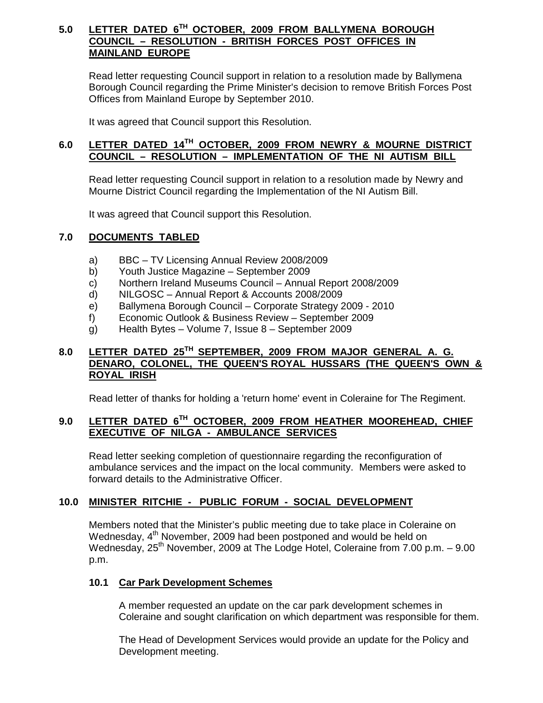### **5.0 LETTER DATED 6TH OCTOBER, 2009 FROM BALLYMENA BOROUGH COUNCIL – RESOLUTION - BRITISH FORCES POST OFFICES IN MAINLAND EUROPE**

 Read letter requesting Council support in relation to a resolution made by Ballymena Borough Council regarding the Prime Minister's decision to remove British Forces Post Offices from Mainland Europe by September 2010.

It was agreed that Council support this Resolution.

## **6.0 LETTER DATED 14TH OCTOBER, 2009 FROM NEWRY & MOURNE DISTRICT COUNCIL – RESOLUTION – IMPLEMENTATION OF THE NI AUTISM BILL**

 Read letter requesting Council support in relation to a resolution made by Newry and Mourne District Council regarding the Implementation of the NI Autism Bill.

It was agreed that Council support this Resolution.

# **7.0 DOCUMENTS TABLED**

- a) BBC TV Licensing Annual Review 2008/2009
- b) Youth Justice Magazine September 2009
- c) Northern Ireland Museums Council Annual Report 2008/2009
- d) NILGOSC Annual Report & Accounts 2008/2009
- e) Ballymena Borough Council Corporate Strategy 2009 2010
- f) Economic Outlook & Business Review September 2009
- g) Health Bytes Volume 7, Issue 8 September 2009

# **8.0 LETTER DATED 25TH SEPTEMBER, 2009 FROM MAJOR GENERAL A. G. DENARO, COLONEL, THE QUEEN'S ROYAL HUSSARS (THE QUEEN'S OWN & ROYAL IRISH**

Read letter of thanks for holding a 'return home' event in Coleraine for The Regiment.

# **9.0 LETTER DATED 6TH OCTOBER, 2009 FROM HEATHER MOOREHEAD, CHIEF EXECUTIVE OF NILGA - AMBULANCE SERVICES**

Read letter seeking completion of questionnaire regarding the reconfiguration of ambulance services and the impact on the local community. Members were asked to forward details to the Administrative Officer.

#### **10.0 MINISTER RITCHIE - PUBLIC FORUM - SOCIAL DEVELOPMENT**

Members noted that the Minister's public meeting due to take place in Coleraine on Wednesday, 4<sup>th</sup> November, 2009 had been postponed and would be held on Wednesday,  $25<sup>th</sup>$  November, 2009 at The Lodge Hotel, Coleraine from 7.00 p.m.  $-$  9.00 p.m.

#### **10.1 Car Park Development Schemes**

A member requested an update on the car park development schemes in Coleraine and sought clarification on which department was responsible for them.

The Head of Development Services would provide an update for the Policy and Development meeting.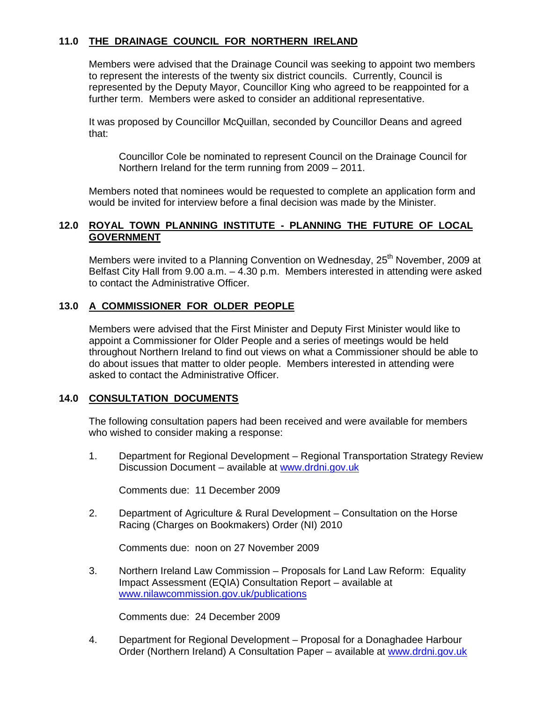# **11.0 THE DRAINAGE COUNCIL FOR NORTHERN IRELAND**

Members were advised that the Drainage Council was seeking to appoint two members to represent the interests of the twenty six district councils. Currently, Council is represented by the Deputy Mayor, Councillor King who agreed to be reappointed for a further term. Members were asked to consider an additional representative.

It was proposed by Councillor McQuillan, seconded by Councillor Deans and agreed that:

Councillor Cole be nominated to represent Council on the Drainage Council for Northern Ireland for the term running from 2009 – 2011.

Members noted that nominees would be requested to complete an application form and would be invited for interview before a final decision was made by the Minister.

#### **12.0 ROYAL TOWN PLANNING INSTITUTE - PLANNING THE FUTURE OF LOCAL GOVERNMENT**

Members were invited to a Planning Convention on Wednesday, 25<sup>th</sup> November, 2009 at Belfast City Hall from 9.00 a.m. – 4.30 p.m. Members interested in attending were asked to contact the Administrative Officer.

#### **13.0 A COMMISSIONER FOR OLDER PEOPLE**

Members were advised that the First Minister and Deputy First Minister would like to appoint a Commissioner for Older People and a series of meetings would be held throughout Northern Ireland to find out views on what a Commissioner should be able to do about issues that matter to older people. Members interested in attending were asked to contact the Administrative Officer.

#### **14.0 CONSULTATION DOCUMENTS**

 The following consultation papers had been received and were available for members who wished to consider making a response:

1. Department for Regional Development – Regional Transportation Strategy Review Discussion Document – available at www.drdni.gov.uk

Comments due: 11 December 2009

2. Department of Agriculture & Rural Development – Consultation on the Horse Racing (Charges on Bookmakers) Order (NI) 2010

Comments due: noon on 27 November 2009

3. Northern Ireland Law Commission – Proposals for Land Law Reform: Equality Impact Assessment (EQIA) Consultation Report – available at www.nilawcommission.gov.uk/publications

Comments due: 24 December 2009

4. Department for Regional Development – Proposal for a Donaghadee Harbour Order (Northern Ireland) A Consultation Paper – available at www.drdni.gov.uk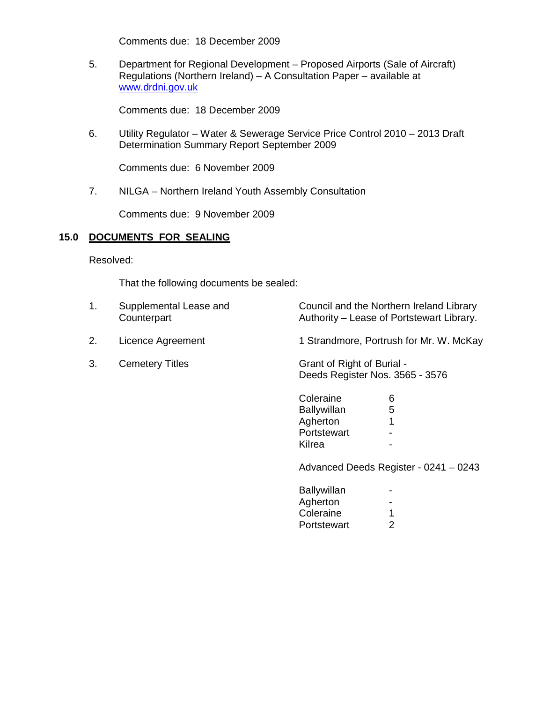Comments due: 18 December 2009

5. Department for Regional Development – Proposed Airports (Sale of Aircraft) Regulations (Northern Ireland) – A Consultation Paper – available at www.drdni.gov.uk

Comments due: 18 December 2009

6. Utility Regulator – Water & Sewerage Service Price Control 2010 – 2013 Draft Determination Summary Report September 2009

Comments due: 6 November 2009

7. NILGA – Northern Ireland Youth Assembly Consultation

Comments due: 9 November 2009

#### **15.0 DOCUMENTS FOR SEALING**

Resolved:

That the following documents be sealed:

| 1. | Supplemental Lease and<br>Counterpart | Council and the Northern Ireland Library<br>Authority – Lease of Portstewart Library. |
|----|---------------------------------------|---------------------------------------------------------------------------------------|
| 2. | Licence Agreement                     | 1 Strandmore, Portrush for Mr. W. McKay                                               |
| 3. | <b>Cemetery Titles</b>                | Grant of Right of Burial -<br>Deeds Register Nos. 3565 - 3576                         |
|    |                                       | Coleraine<br>6<br>5<br><b>Ballywillan</b><br>Agherton<br>1<br>Portstewart             |

e de la contradición de la contradición de la contradición de la contradición de la contradición de la contradición de la contradición de la contradición de la contradición de la contradición de la contradición de la contr

Advanced Deeds Register - 0241 – 0243

| Ballywillan | н.             |
|-------------|----------------|
| Agherton    | -              |
| Coleraine   |                |
| Portstewart | $\overline{2}$ |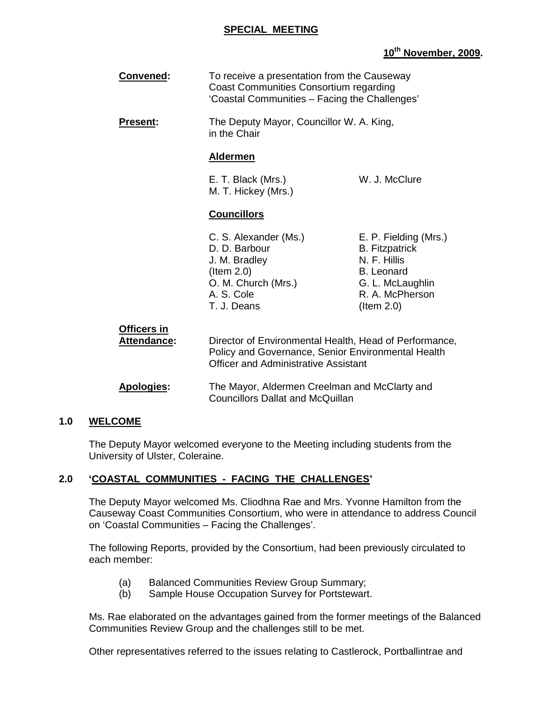#### **SPECIAL MEETING**

## **10th November, 2009.**

| Convened:                  | To receive a presentation from the Causeway<br>Coast Communities Consortium regarding<br>'Coastal Communities - Facing the Challenges'                      |                                                                                                                                                |
|----------------------------|-------------------------------------------------------------------------------------------------------------------------------------------------------------|------------------------------------------------------------------------------------------------------------------------------------------------|
| Present:                   | The Deputy Mayor, Councillor W. A. King,<br>in the Chair                                                                                                    |                                                                                                                                                |
|                            | <b>Aldermen</b>                                                                                                                                             |                                                                                                                                                |
|                            | E. T. Black (Mrs.)<br>M. T. Hickey (Mrs.)                                                                                                                   | W. J. McClure                                                                                                                                  |
|                            | <b>Councillors</b>                                                                                                                                          |                                                                                                                                                |
|                            | C. S. Alexander (Ms.)<br>D. D. Barbour<br>J. M. Bradley<br>$($ ltem 2.0 $)$<br>O. M. Church (Mrs.)<br>A. S. Cole<br>T. J. Deans                             | E. P. Fielding (Mrs.)<br><b>B.</b> Fitzpatrick<br>N. F. Hillis<br><b>B.</b> Leonard<br>G. L. McLaughlin<br>R. A. McPherson<br>$($ ltem 2.0 $)$ |
| Officers in<br>Attendance: | Director of Environmental Health, Head of Performance,<br>Policy and Governance, Senior Environmental Health<br><b>Officer and Administrative Assistant</b> |                                                                                                                                                |
| <b>Apologies:</b>          | The Mayor, Aldermen Creelman and McClarty and<br><b>Councillors Dallat and McQuillan</b>                                                                    |                                                                                                                                                |

#### **1.0 WELCOME**

 The Deputy Mayor welcomed everyone to the Meeting including students from the University of Ulster, Coleraine.

# **2.0 'COASTAL COMMUNITIES - FACING THE CHALLENGES'**

The Deputy Mayor welcomed Ms. Cliodhna Rae and Mrs. Yvonne Hamilton from the Causeway Coast Communities Consortium, who were in attendance to address Council on 'Coastal Communities – Facing the Challenges'.

 The following Reports, provided by the Consortium, had been previously circulated to each member:

- (a) Balanced Communities Review Group Summary;
- (b) Sample House Occupation Survey for Portstewart.

 Ms. Rae elaborated on the advantages gained from the former meetings of the Balanced Communities Review Group and the challenges still to be met.

Other representatives referred to the issues relating to Castlerock, Portballintrae and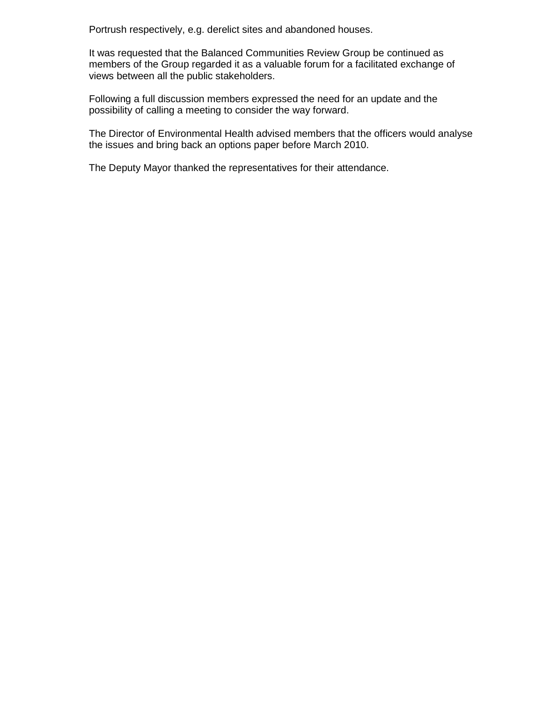Portrush respectively, e.g. derelict sites and abandoned houses.

 It was requested that the Balanced Communities Review Group be continued as members of the Group regarded it as a valuable forum for a facilitated exchange of views between all the public stakeholders.

 Following a full discussion members expressed the need for an update and the possibility of calling a meeting to consider the way forward.

 The Director of Environmental Health advised members that the officers would analyse the issues and bring back an options paper before March 2010.

The Deputy Mayor thanked the representatives for their attendance.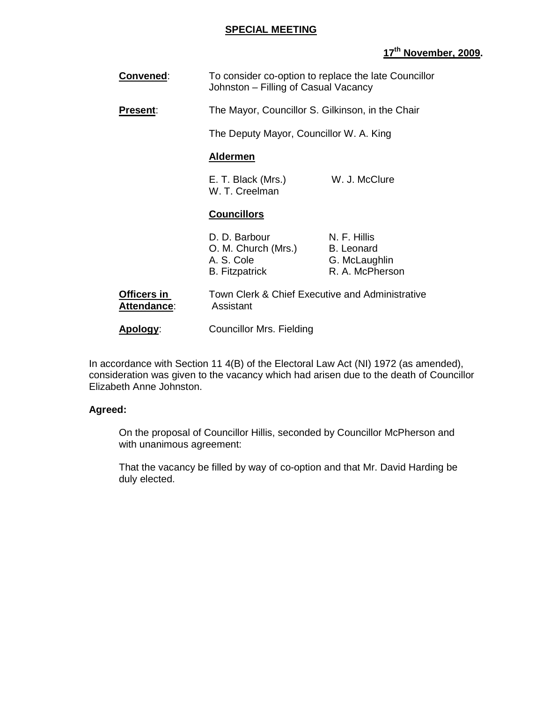#### **SPECIAL MEETING**

# **17th November, 2009.**

| Convened:                         | Johnston - Filling of Casual Vacancy                                        | To consider co-option to replace the late Councillor                  |
|-----------------------------------|-----------------------------------------------------------------------------|-----------------------------------------------------------------------|
| <b>Present:</b>                   | The Mayor, Councillor S. Gilkinson, in the Chair                            |                                                                       |
|                                   | The Deputy Mayor, Councillor W. A. King                                     |                                                                       |
|                                   | <b>Aldermen</b>                                                             |                                                                       |
|                                   | E. T. Black (Mrs.)<br>W. T. Creelman                                        | W. J. McClure                                                         |
|                                   | <b>Councillors</b>                                                          |                                                                       |
|                                   |                                                                             |                                                                       |
|                                   | D. D. Barbour<br>O. M. Church (Mrs.)<br>A. S. Cole<br><b>B.</b> Fitzpatrick | N. F. Hillis<br><b>B.</b> Leonard<br>G. McLaughlin<br>R. A. McPherson |
| Officers in<br><b>Attendance:</b> | Town Clerk & Chief Executive and Administrative<br>Assistant                |                                                                       |

In accordance with Section 11 4(B) of the Electoral Law Act (NI) 1972 (as amended), consideration was given to the vacancy which had arisen due to the death of Councillor Elizabeth Anne Johnston.

#### **Agreed:**

On the proposal of Councillor Hillis, seconded by Councillor McPherson and with unanimous agreement:

That the vacancy be filled by way of co-option and that Mr. David Harding be duly elected.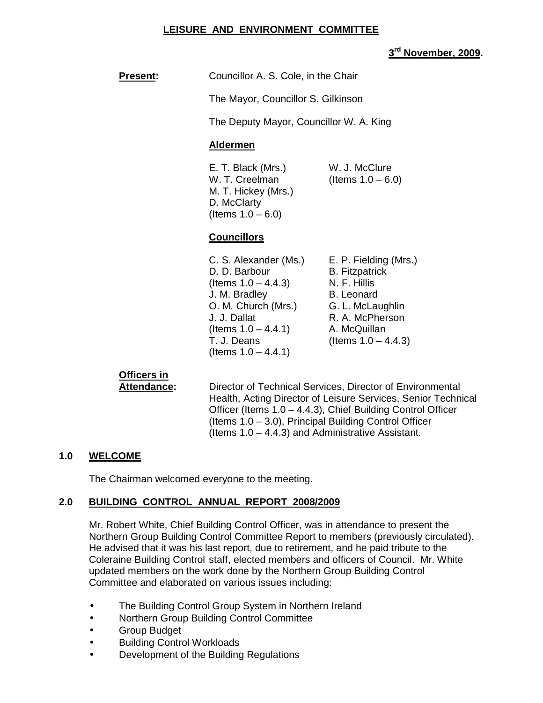#### **LEISURE AND ENVIRONMENT COMMITTEE**

# **3 rd November, 2009.**

| <b>Present:</b> | Councillor A. S. Cole, in the Chair                                                                                                                                                         |                                                                                                                                                                      |
|-----------------|---------------------------------------------------------------------------------------------------------------------------------------------------------------------------------------------|----------------------------------------------------------------------------------------------------------------------------------------------------------------------|
|                 | The Mayor, Councillor S. Gilkinson                                                                                                                                                          |                                                                                                                                                                      |
|                 | The Deputy Mayor, Councillor W. A. King                                                                                                                                                     |                                                                                                                                                                      |
|                 | <b>Aldermen</b>                                                                                                                                                                             |                                                                                                                                                                      |
|                 | E. T. Black (Mrs.)<br>W. T. Creelman<br>M. T. Hickey (Mrs.)<br>D. McClarty<br>(Items $1.0 - 6.0$ )                                                                                          | W. J. McClure<br>(Items $1.0 - 6.0$ )                                                                                                                                |
|                 | <b>Councillors</b>                                                                                                                                                                          |                                                                                                                                                                      |
|                 | C. S. Alexander (Ms.)<br>D. D. Barbour<br>(Items $1.0 - 4.4.3$ )<br>J. M. Bradley<br>O. M. Church (Mrs.)<br>J. J. Dallat<br>(Items $1.0 - 4.4.1$ )<br>T. J. Deans<br>(Items $1.0 - 4.4.1$ ) | E. P. Fielding (Mrs.)<br><b>B.</b> Fitzpatrick<br>N. F. Hillis<br><b>B.</b> Leonard<br>G. L. McLaughlin<br>R. A. McPherson<br>A. McQuillan<br>(Items $1.0 - 4.4.3$ ) |

# **Officers in**

**Attendance:** Director of Technical Services, Director of Environmental Health, Acting Director of Leisure Services, Senior Technical Officer (Items 1.0 – 4.4.3), Chief Building Control Officer (Items 1.0 – 3.0), Principal Building Control Officer (Items 1.0 – 4.4.3) and Administrative Assistant.

#### **1.0 WELCOME**

The Chairman welcomed everyone to the meeting.

# **2.0 BUILDING CONTROL ANNUAL REPORT 2008/2009**

 Mr. Robert White, Chief Building Control Officer, was in attendance to present the Northern Group Building Control Committee Report to members (previously circulated). He advised that it was his last report, due to retirement, and he paid tribute to the Coleraine Building Control staff, elected members and officers of Council. Mr. White updated members on the work done by the Northern Group Building Control Committee and elaborated on various issues including:

- The Building Control Group System in Northern Ireland
- Northern Group Building Control Committee
- Group Budget
- Building Control Workloads
- Development of the Building Regulations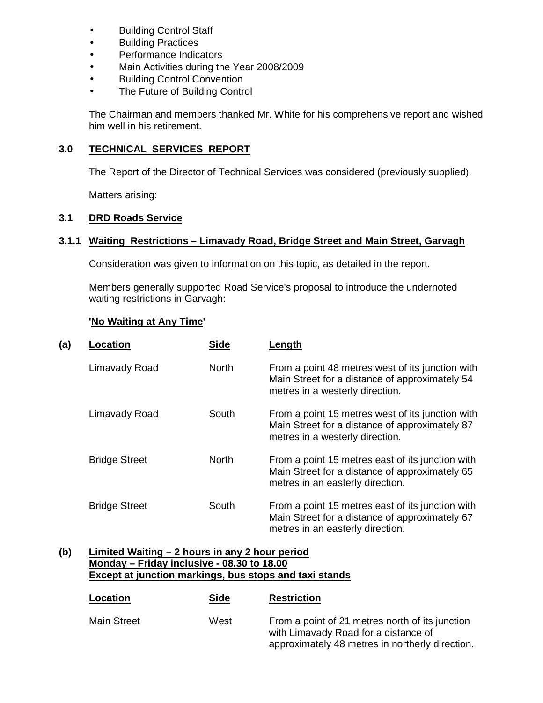- Building Control Staff
- Building Practices
- Performance Indicators
- Main Activities during the Year 2008/2009
- **Building Control Convention**
- The Future of Building Control

The Chairman and members thanked Mr. White for his comprehensive report and wished him well in his retirement.

# **3.0 TECHNICAL SERVICES REPORT**

The Report of the Director of Technical Services was considered (previously supplied).

Matters arising:

# **3.1 DRD Roads Service**

# **3.1.1 Waiting Restrictions – Limavady Road, Bridge Street and Main Street, Garvagh**

Consideration was given to information on this topic, as detailed in the report.

 Members generally supported Road Service's proposal to introduce the undernoted waiting restrictions in Garvagh:

# **'No Waiting at Any Time'**

| (a) | Location             | <b>Side</b>  | Length                                                                                                                                 |
|-----|----------------------|--------------|----------------------------------------------------------------------------------------------------------------------------------------|
|     | Limavady Road        | <b>North</b> | From a point 48 metres west of its junction with<br>Main Street for a distance of approximately 54<br>metres in a westerly direction.  |
|     | Limavady Road        | South        | From a point 15 metres west of its junction with<br>Main Street for a distance of approximately 87<br>metres in a westerly direction.  |
|     | <b>Bridge Street</b> | <b>North</b> | From a point 15 metres east of its junction with<br>Main Street for a distance of approximately 65<br>metres in an easterly direction. |
|     | <b>Bridge Street</b> | South        | From a point 15 metres east of its junction with<br>Main Street for a distance of approximately 67<br>metres in an easterly direction. |

#### **(b) Limited Waiting – 2 hours in any 2 hour period Monday – Friday inclusive - 08.30 to 18.00 Except at junction markings, bus stops and taxi stands**

| Location           | <b>Side</b> | <b>Restriction</b>                                                                                                                         |
|--------------------|-------------|--------------------------------------------------------------------------------------------------------------------------------------------|
| <b>Main Street</b> | West        | From a point of 21 metres north of its junction<br>with Limavady Road for a distance of<br>approximately 48 metres in northerly direction. |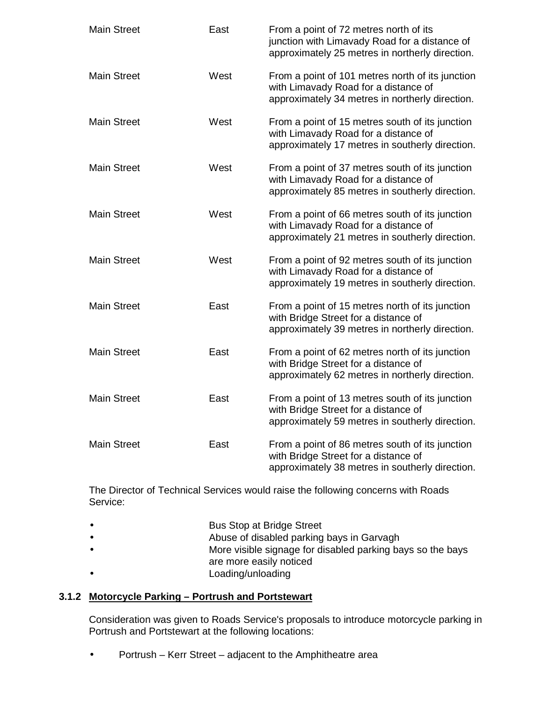| <b>Main Street</b> | East | From a point of 72 metres north of its<br>junction with Limavady Road for a distance of<br>approximately 25 metres in northerly direction.  |
|--------------------|------|---------------------------------------------------------------------------------------------------------------------------------------------|
| <b>Main Street</b> | West | From a point of 101 metres north of its junction<br>with Limavady Road for a distance of<br>approximately 34 metres in northerly direction. |
| <b>Main Street</b> | West | From a point of 15 metres south of its junction<br>with Limavady Road for a distance of<br>approximately 17 metres in southerly direction.  |
| <b>Main Street</b> | West | From a point of 37 metres south of its junction<br>with Limavady Road for a distance of<br>approximately 85 metres in southerly direction.  |
| <b>Main Street</b> | West | From a point of 66 metres south of its junction<br>with Limavady Road for a distance of<br>approximately 21 metres in southerly direction.  |
| <b>Main Street</b> | West | From a point of 92 metres south of its junction<br>with Limavady Road for a distance of<br>approximately 19 metres in southerly direction.  |
| <b>Main Street</b> | East | From a point of 15 metres north of its junction<br>with Bridge Street for a distance of<br>approximately 39 metres in northerly direction.  |
| <b>Main Street</b> | East | From a point of 62 metres north of its junction<br>with Bridge Street for a distance of<br>approximately 62 metres in northerly direction.  |
| <b>Main Street</b> | East | From a point of 13 metres south of its junction<br>with Bridge Street for a distance of<br>approximately 59 metres in southerly direction.  |
| <b>Main Street</b> | East | From a point of 86 metres south of its junction<br>with Bridge Street for a distance of<br>approximately 38 metres in southerly direction.  |

 The Director of Technical Services would raise the following concerns with Roads Service:

| <b>Bus Stop at Bridge Street</b> |
|----------------------------------|
|                                  |

- Abuse of disabled parking bays in Garvagh
- More visible signage for disabled parking bays so the bays
- are more easily noticed
- Loading/unloading

# **3.1.2 Motorcycle Parking – Portrush and Portstewart**

 Consideration was given to Roads Service's proposals to introduce motorcycle parking in Portrush and Portstewart at the following locations:

• Portrush – Kerr Street – adjacent to the Amphitheatre area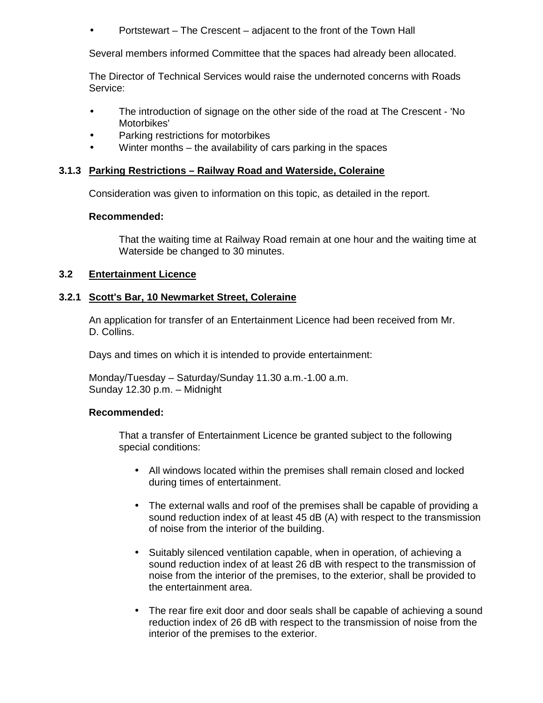• Portstewart – The Crescent – adjacent to the front of the Town Hall

Several members informed Committee that the spaces had already been allocated.

 The Director of Technical Services would raise the undernoted concerns with Roads Service:

- The introduction of signage on the other side of the road at The Crescent 'No Motorbikes'
- Parking restrictions for motorbikes
- Winter months the availability of cars parking in the spaces

## **3.1.3 Parking Restrictions – Railway Road and Waterside, Coleraine**

Consideration was given to information on this topic, as detailed in the report.

#### **Recommended:**

 That the waiting time at Railway Road remain at one hour and the waiting time at Waterside be changed to 30 minutes.

#### **3.2 Entertainment Licence**

#### **3.2.1 Scott's Bar, 10 Newmarket Street, Coleraine**

 An application for transfer of an Entertainment Licence had been received from Mr. D. Collins.

Days and times on which it is intended to provide entertainment:

Monday/Tuesday – Saturday/Sunday 11.30 a.m.-1.00 a.m. Sunday 12.30 p.m. – Midnight

#### **Recommended:**

 That a transfer of Entertainment Licence be granted subject to the following special conditions:

- All windows located within the premises shall remain closed and locked during times of entertainment.
- The external walls and roof of the premises shall be capable of providing a sound reduction index of at least 45 dB (A) with respect to the transmission of noise from the interior of the building.
- Suitably silenced ventilation capable, when in operation, of achieving a sound reduction index of at least 26 dB with respect to the transmission of noise from the interior of the premises, to the exterior, shall be provided to the entertainment area.
- The rear fire exit door and door seals shall be capable of achieving a sound reduction index of 26 dB with respect to the transmission of noise from the interior of the premises to the exterior.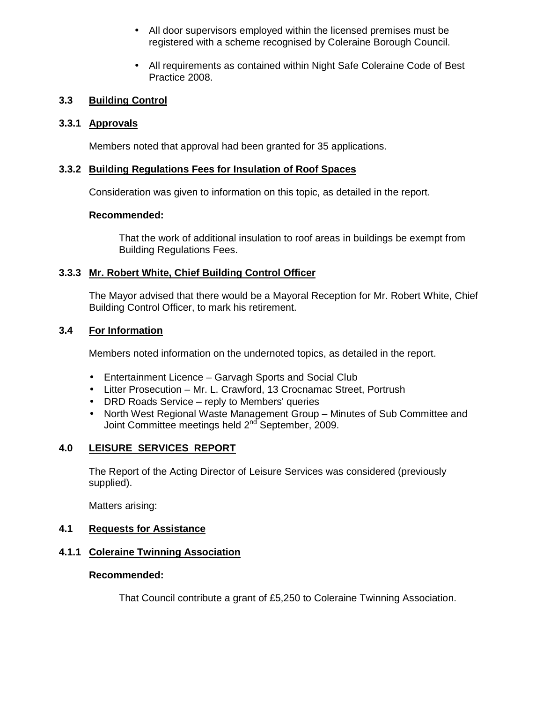- All door supervisors employed within the licensed premises must be registered with a scheme recognised by Coleraine Borough Council.
- All requirements as contained within Night Safe Coleraine Code of Best Practice 2008.

# **3.3 Building Control**

# **3.3.1 Approvals**

Members noted that approval had been granted for 35 applications.

# **3.3.2 Building Regulations Fees for Insulation of Roof Spaces**

Consideration was given to information on this topic, as detailed in the report.

# **Recommended:**

 That the work of additional insulation to roof areas in buildings be exempt from Building Regulations Fees.

# **3.3.3 Mr. Robert White, Chief Building Control Officer**

 The Mayor advised that there would be a Mayoral Reception for Mr. Robert White, Chief Building Control Officer, to mark his retirement.

# **3.4 For Information**

Members noted information on the undernoted topics, as detailed in the report.

- Entertainment Licence Garvagh Sports and Social Club
- Litter Prosecution Mr. L. Crawford, 13 Crocnamac Street, Portrush
- DRD Roads Service reply to Members' queries
- North West Regional Waste Management Group Minutes of Sub Committee and Joint Committee meetings held 2<sup>nd</sup> September, 2009.

# **4.0 LEISURE SERVICES REPORT**

 The Report of the Acting Director of Leisure Services was considered (previously supplied).

Matters arising:

# **4.1 Requests for Assistance**

# **4.1.1 Coleraine Twinning Association**

# **Recommended:**

That Council contribute a grant of £5,250 to Coleraine Twinning Association.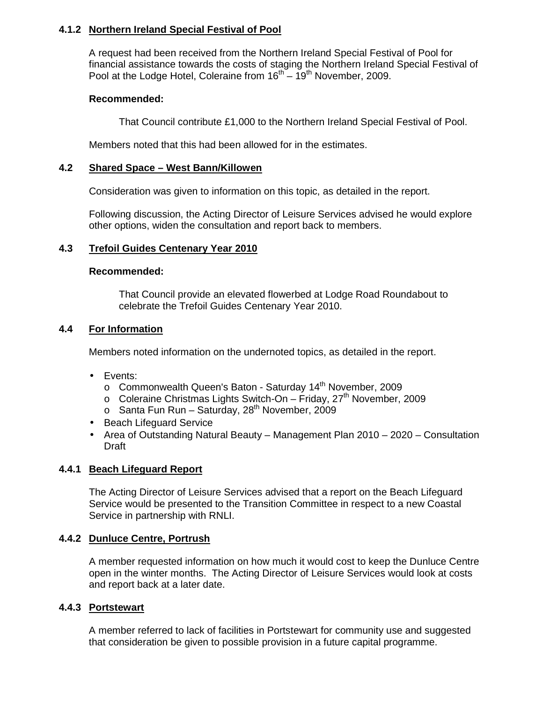# **4.1.2 Northern Ireland Special Festival of Pool**

 A request had been received from the Northern Ireland Special Festival of Pool for financial assistance towards the costs of staging the Northern Ireland Special Festival of Pool at the Lodge Hotel, Coleraine from  $16^{th} - 19^{th}$  November, 2009.

## **Recommended:**

That Council contribute £1,000 to the Northern Ireland Special Festival of Pool.

Members noted that this had been allowed for in the estimates.

## **4.2 Shared Space – West Bann/Killowen**

Consideration was given to information on this topic, as detailed in the report.

 Following discussion, the Acting Director of Leisure Services advised he would explore other options, widen the consultation and report back to members.

# **4.3 Trefoil Guides Centenary Year 2010**

#### **Recommended:**

 That Council provide an elevated flowerbed at Lodge Road Roundabout to celebrate the Trefoil Guides Centenary Year 2010.

#### **4.4 For Information**

Members noted information on the undernoted topics, as detailed in the report.

- Events:
	- o Commonwealth Queen's Baton Saturday 14<sup>th</sup> November, 2009
	- $\circ$  Coleraine Christmas Lights Switch-On Friday, 27<sup>th</sup> November, 2009
	- $\circ$  Santa Fun Run Saturday, 28<sup>th</sup> November, 2009
- Beach Lifeguard Service
- Area of Outstanding Natural Beauty Management Plan 2010 2020 Consultation Draft

#### **4.4.1 Beach Lifeguard Report**

 The Acting Director of Leisure Services advised that a report on the Beach Lifeguard Service would be presented to the Transition Committee in respect to a new Coastal Service in partnership with RNLI.

#### **4.4.2 Dunluce Centre, Portrush**

 A member requested information on how much it would cost to keep the Dunluce Centre open in the winter months. The Acting Director of Leisure Services would look at costs and report back at a later date.

# **4.4.3 Portstewart**

 A member referred to lack of facilities in Portstewart for community use and suggested that consideration be given to possible provision in a future capital programme.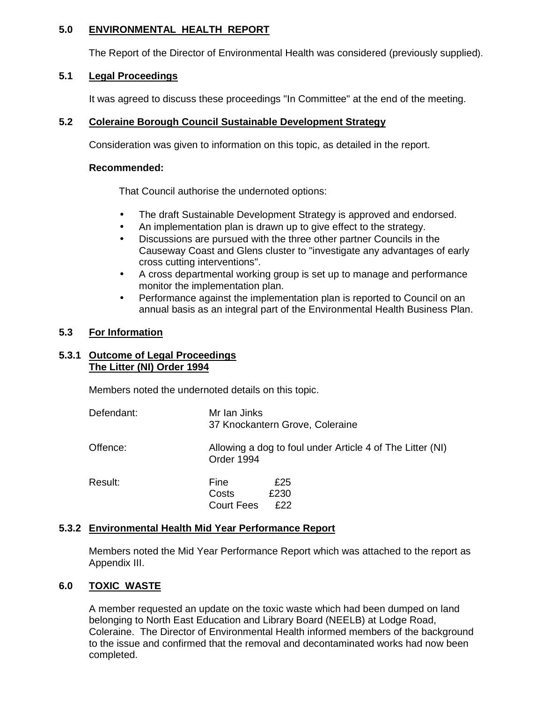#### **5.0 ENVIRONMENTAL HEALTH REPORT**

The Report of the Director of Environmental Health was considered (previously supplied).

# **5.1 Legal Proceedings**

It was agreed to discuss these proceedings "In Committee" at the end of the meeting.

# **5.2 Coleraine Borough Council Sustainable Development Strategy**

Consideration was given to information on this topic, as detailed in the report.

#### **Recommended:**

That Council authorise the undernoted options:

- The draft Sustainable Development Strategy is approved and endorsed.
- An implementation plan is drawn up to give effect to the strategy.
- Discussions are pursued with the three other partner Councils in the Causeway Coast and Glens cluster to "investigate any advantages of early cross cutting interventions".
- A cross departmental working group is set up to manage and performance monitor the implementation plan.
- Performance against the implementation plan is reported to Council on an annual basis as an integral part of the Environmental Health Business Plan.

# **5.3 For Information**

#### **5.3.1 Outcome of Legal Proceedings The Litter (NI) Order 1994**

Members noted the undernoted details on this topic.

| Defendant: | Mr Ian Jinks<br>37 Knockantern Grove, Coleraine                         |
|------------|-------------------------------------------------------------------------|
| Offence:   | Allowing a dog to foul under Article 4 of The Litter (NI)<br>Order 1994 |
| Result:    | £25<br>Fine<br>£230<br>Costs<br>£22<br><b>Court Fees</b>                |

#### **5.3.2 Environmental Health Mid Year Performance Report**

 Members noted the Mid Year Performance Report which was attached to the report as Appendix III.

# **6.0 TOXIC WASTE**

 A member requested an update on the toxic waste which had been dumped on land belonging to North East Education and Library Board (NEELB) at Lodge Road, Coleraine. The Director of Environmental Health informed members of the background to the issue and confirmed that the removal and decontaminated works had now been completed.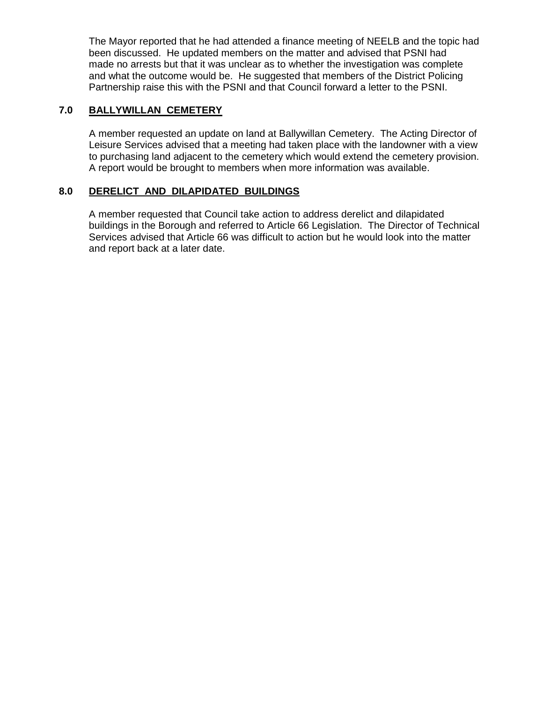The Mayor reported that he had attended a finance meeting of NEELB and the topic had been discussed. He updated members on the matter and advised that PSNI had made no arrests but that it was unclear as to whether the investigation was complete and what the outcome would be. He suggested that members of the District Policing Partnership raise this with the PSNI and that Council forward a letter to the PSNI.

# **7.0 BALLYWILLAN CEMETERY**

 A member requested an update on land at Ballywillan Cemetery. The Acting Director of Leisure Services advised that a meeting had taken place with the landowner with a view to purchasing land adjacent to the cemetery which would extend the cemetery provision. A report would be brought to members when more information was available.

#### **8.0 DERELICT AND DILAPIDATED BUILDINGS**

 A member requested that Council take action to address derelict and dilapidated buildings in the Borough and referred to Article 66 Legislation. The Director of Technical Services advised that Article 66 was difficult to action but he would look into the matter and report back at a later date.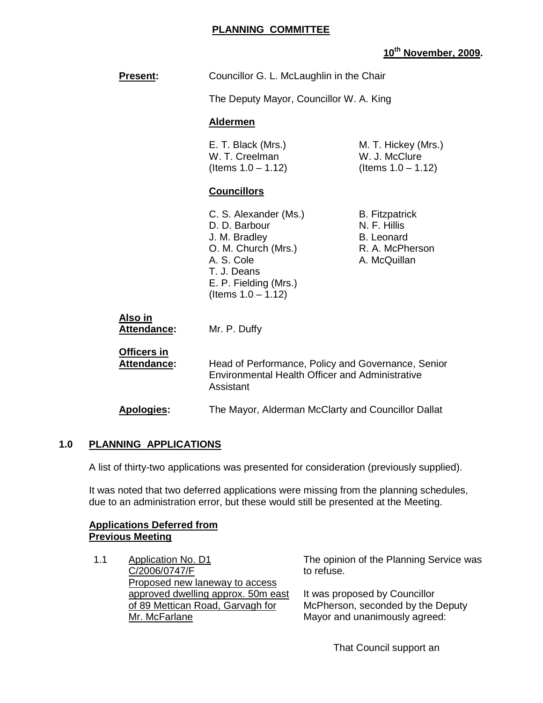#### **PLANNING COMMITTEE**

# **10th November, 2009.**

| <b>Present:</b>                   | Councillor G. L. McLaughlin in the Chair<br>The Deputy Mayor, Councillor W. A. King<br><b>Aldermen</b>                                                        |                                                                                               |
|-----------------------------------|---------------------------------------------------------------------------------------------------------------------------------------------------------------|-----------------------------------------------------------------------------------------------|
|                                   |                                                                                                                                                               |                                                                                               |
|                                   |                                                                                                                                                               |                                                                                               |
|                                   | E. T. Black (Mrs.)<br>W. T. Creelman<br>(Items $1.0 - 1.12$ )                                                                                                 | M. T. Hickey (Mrs.)<br>W. J. McClure<br>(Items $1.0 - 1.12$ )                                 |
|                                   | <b>Councillors</b>                                                                                                                                            |                                                                                               |
|                                   | C. S. Alexander (Ms.)<br>D. D. Barbour<br>J. M. Bradley<br>O. M. Church (Mrs.)<br>A. S. Cole<br>T. J. Deans<br>E. P. Fielding (Mrs.)<br>(Items $1.0 - 1.12$ ) | <b>B.</b> Fitzpatrick<br>N. F. Hillis<br><b>B.</b> Leonard<br>R. A. McPherson<br>A. McQuillan |
| Also in<br><b>Attendance:</b>     | Mr. P. Duffy                                                                                                                                                  |                                                                                               |
| Officers in<br><b>Attendance:</b> | Head of Performance, Policy and Governance, Senior<br><b>Environmental Health Officer and Administrative</b><br>Assistant                                     |                                                                                               |
| <b>Apologies:</b>                 | The Mayor, Alderman McClarty and Councillor Dallat                                                                                                            |                                                                                               |

#### **1.0 PLANNING APPLICATIONS**

A list of thirty-two applications was presented for consideration (previously supplied).

 It was noted that two deferred applications were missing from the planning schedules, due to an administration error, but these would still be presented at the Meeting.

#### **Applications Deferred from Previous Meeting**

1.1 Application No. D1 C/2006/0747/F Proposed new laneway to access approved dwelling approx. 50m east of 89 Mettican Road, Garvagh for Mr. McFarlane

The opinion of the Planning Service was to refuse.

It was proposed by Councillor McPherson, seconded by the Deputy Mayor and unanimously agreed:

That Council support an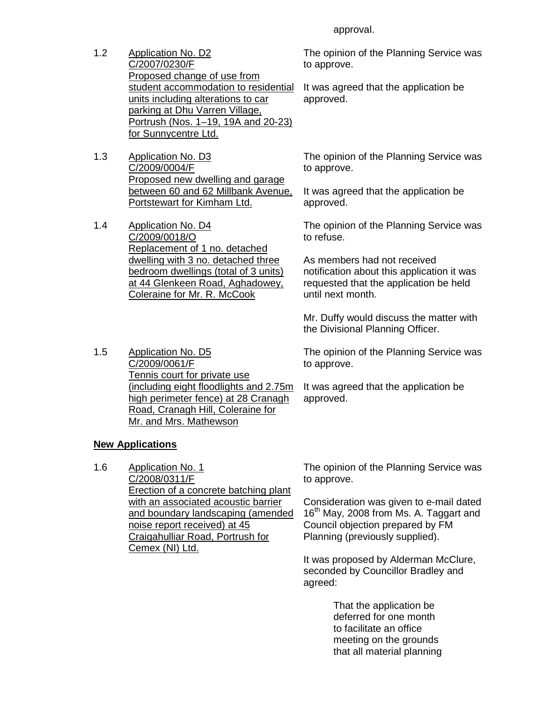1.2 Application No. D2 C/2007/0230/F Proposed change of use from student accommodation to residential units including alterations to car parking at Dhu Varren Village, Portrush (Nos. 1–19, 19A and 20-23) for Sunnycentre Ltd.

- 1.3 Application No. D3 C/2009/0004/F Proposed new dwelling and garage between 60 and 62 Millbank Avenue, Portstewart for Kimham Ltd.
- 1.4 Application No. D4 C/2009/0018/O Replacement of 1 no. detached dwelling with 3 no. detached three bedroom dwellings (total of 3 units) at 44 Glenkeen Road, Aghadowey, Coleraine for Mr. R. McCook

1.5 Application No. D5 C/2009/0061/F Tennis court for private use (including eight floodlights and 2.75m high perimeter fence) at 28 Cranagh Road, Cranagh Hill, Coleraine for Mr. and Mrs. Mathewson

#### **New Applications**

1.6 Application No. 1 C/2008/0311/F Erection of a concrete batching plant with an associated acoustic barrier and boundary landscaping (amended noise report received) at 45 Craigahulliar Road, Portrush for Cemex (NI) Ltd.

approval.

The opinion of the Planning Service was to approve.

It was agreed that the application be approved.

The opinion of the Planning Service was to approve.

It was agreed that the application be approved.

The opinion of the Planning Service was to refuse.

As members had not received notification about this application it was requested that the application be held until next month.

Mr. Duffy would discuss the matter with the Divisional Planning Officer.

The opinion of the Planning Service was to approve.

It was agreed that the application be approved.

The opinion of the Planning Service was to approve.

Consideration was given to e-mail dated 16<sup>th</sup> May, 2008 from Ms. A. Taggart and Council objection prepared by FM Planning (previously supplied).

It was proposed by Alderman McClure, seconded by Councillor Bradley and agreed:

> That the application be deferred for one month to facilitate an office meeting on the grounds that all material planning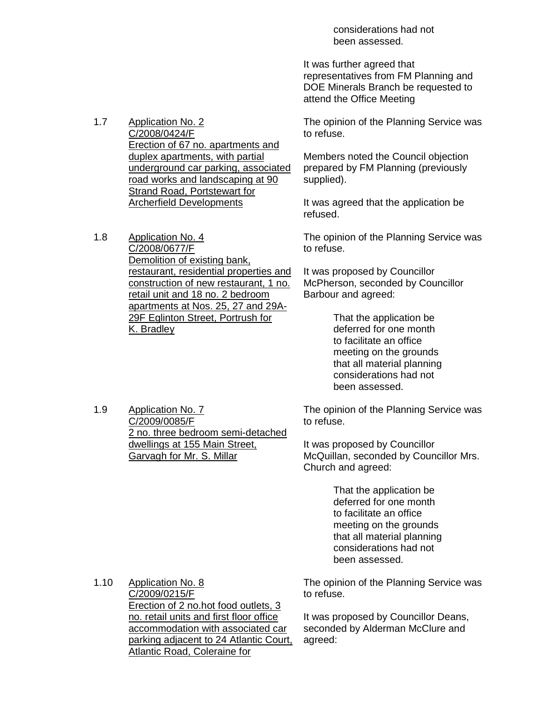considerations had not been assessed.

It was further agreed that representatives from FM Planning and DOE Minerals Branch be requested to attend the Office Meeting

1.7 Application No. 2 C/2008/0424/F Erection of 67 no. apartments and duplex apartments, with partial underground car parking, associated road works and landscaping at 90 Strand Road, Portstewart for Archerfield Developments

1.8 Application No. 4 C/2008/0677/F Demolition of existing bank, restaurant, residential properties and construction of new restaurant, 1 no. retail unit and 18 no. 2 bedroom apartments at Nos. 25, 27 and 29A-29F Eglinton Street, Portrush for K. Bradley

The opinion of the Planning Service was to refuse.

Members noted the Council objection prepared by FM Planning (previously supplied).

It was agreed that the application be refused.

The opinion of the Planning Service was to refuse.

It was proposed by Councillor McPherson, seconded by Councillor Barbour and agreed:

> That the application be deferred for one month to facilitate an office meeting on the grounds that all material planning considerations had not been assessed.

1.9 Application No. 7 C/2009/0085/F 2 no. three bedroom semi-detached dwellings at 155 Main Street, Garvagh for Mr. S. Millar

The opinion of the Planning Service was to refuse.

It was proposed by Councillor McQuillan, seconded by Councillor Mrs. Church and agreed:

> That the application be deferred for one month to facilitate an office meeting on the grounds that all material planning considerations had not been assessed.

1.10 Application No. 8 C/2009/0215/F Erection of 2 no.hot food outlets, 3 no. retail units and first floor office accommodation with associated car parking adjacent to 24 Atlantic Court, Atlantic Road, Coleraine for

The opinion of the Planning Service was to refuse.

It was proposed by Councillor Deans, seconded by Alderman McClure and agreed: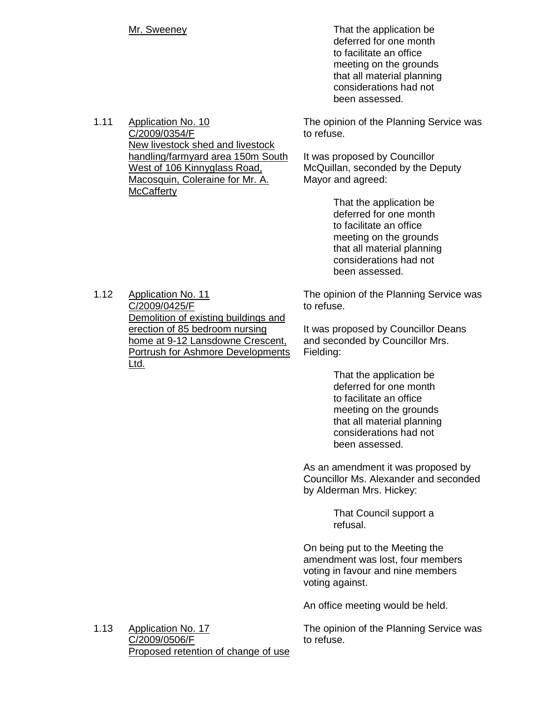Mr. Sweeney **That the application be**  deferred for one month to facilitate an office meeting on the grounds that all material planning considerations had not been assessed.

> The opinion of the Planning Service was to refuse.

It was proposed by Councillor McQuillan, seconded by the Deputy Mayor and agreed:

> That the application be deferred for one month to facilitate an office meeting on the grounds that all material planning considerations had not been assessed.

The opinion of the Planning Service was to refuse.

It was proposed by Councillor Deans and seconded by Councillor Mrs. Fielding:

> That the application be deferred for one month to facilitate an office meeting on the grounds that all material planning considerations had not been assessed.

As an amendment it was proposed by Councillor Ms. Alexander and seconded by Alderman Mrs. Hickey:

> That Council support a refusal.

On being put to the Meeting the amendment was lost, four members voting in favour and nine members voting against.

An office meeting would be held.

The opinion of the Planning Service was to refuse.

1.11 Application No. 10 C/2009/0354/F New livestock shed and livestock handling/farmyard area 150m South West of 106 Kinnyglass Road, Macosquin, Coleraine for Mr. A. **McCafferty** 

1.12 Application No. 11 C/2009/0425/F Demolition of existing buildings and erection of 85 bedroom nursing home at 9-12 Lansdowne Crescent, Portrush for Ashmore Developments Ltd.

1.13 Application No. 17 C/2009/0506/F Proposed retention of change of use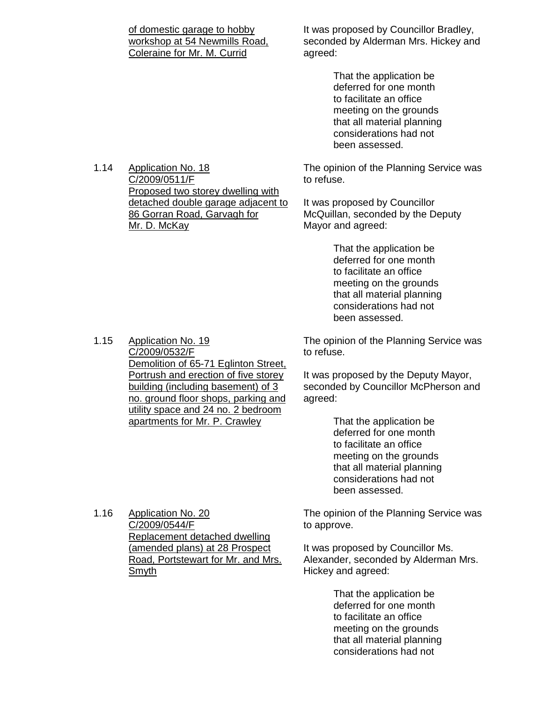| of domestic garage to hobby   |
|-------------------------------|
| workshop at 54 Newmills Road, |
| Coleraine for Mr. M. Currid   |

It was proposed by Councillor Bradley, seconded by Alderman Mrs. Hickey and agreed:

> That the application be deferred for one month to facilitate an office meeting on the grounds that all material planning considerations had not been assessed.

The opinion of the Planning Service was to refuse.

It was proposed by Councillor McQuillan, seconded by the Deputy Mayor and agreed:

> That the application be deferred for one month to facilitate an office meeting on the grounds that all material planning considerations had not been assessed.

The opinion of the Planning Service was to refuse.

It was proposed by the Deputy Mayor, seconded by Councillor McPherson and agreed:

> That the application be deferred for one month to facilitate an office meeting on the grounds that all material planning considerations had not been assessed.

The opinion of the Planning Service was to approve.

It was proposed by Councillor Ms. Alexander, seconded by Alderman Mrs. Hickey and agreed:

> That the application be deferred for one month to facilitate an office meeting on the grounds that all material planning considerations had not

1.14 Application No. 18 C/2009/0511/F Proposed two storey dwelling with detached double garage adjacent to 86 Gorran Road, Garvagh for Mr. D. McKay

1.15 Application No. 19

C/2009/0532/F Demolition of 65-71 Eglinton Street, Portrush and erection of five storey building (including basement) of 3 no. ground floor shops, parking and utility space and 24 no. 2 bedroom apartments for Mr. P. Crawley

1.16 Application No. 20 C/2009/0544/F Replacement detached dwelling (amended plans) at 28 Prospect Road, Portstewart for Mr. and Mrs. Smyth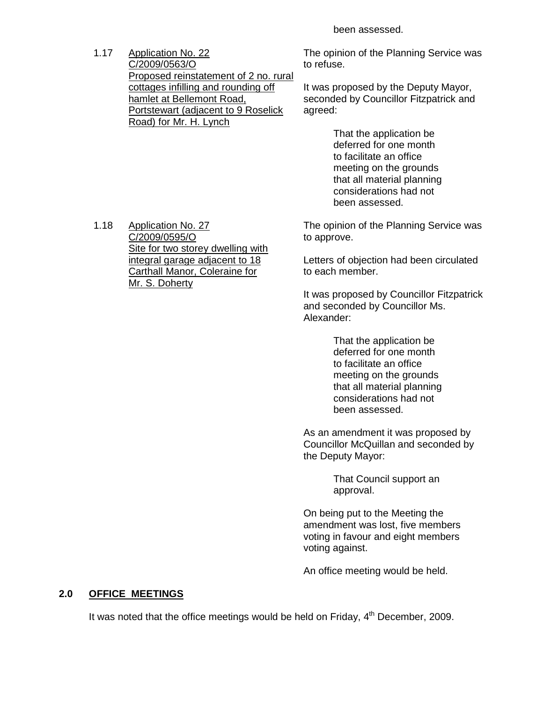been assessed.

1.17 Application No. 22 C/2009/0563/O Proposed reinstatement of 2 no. rural cottages infilling and rounding off hamlet at Bellemont Road, Portstewart (adjacent to 9 Roselick Road) for Mr. H. Lynch

The opinion of the Planning Service was to refuse.

It was proposed by the Deputy Mayor, seconded by Councillor Fitzpatrick and agreed:

> That the application be deferred for one month to facilitate an office meeting on the grounds that all material planning considerations had not been assessed.

The opinion of the Planning Service was to approve.

Letters of objection had been circulated to each member.

It was proposed by Councillor Fitzpatrick and seconded by Councillor Ms. Alexander:

> That the application be deferred for one month to facilitate an office meeting on the grounds that all material planning considerations had not been assessed.

As an amendment it was proposed by Councillor McQuillan and seconded by the Deputy Mayor:

> That Council support an approval.

On being put to the Meeting the amendment was lost, five members voting in favour and eight members voting against.

An office meeting would be held.

#### **2.0 OFFICE MEETINGS**

It was noted that the office meetings would be held on Friday,  $4<sup>th</sup>$  December, 2009.

1.18 Application No. 27 C/2009/0595/O Site for two storey dwelling with integral garage adjacent to 18 Carthall Manor, Coleraine for Mr. S. Doherty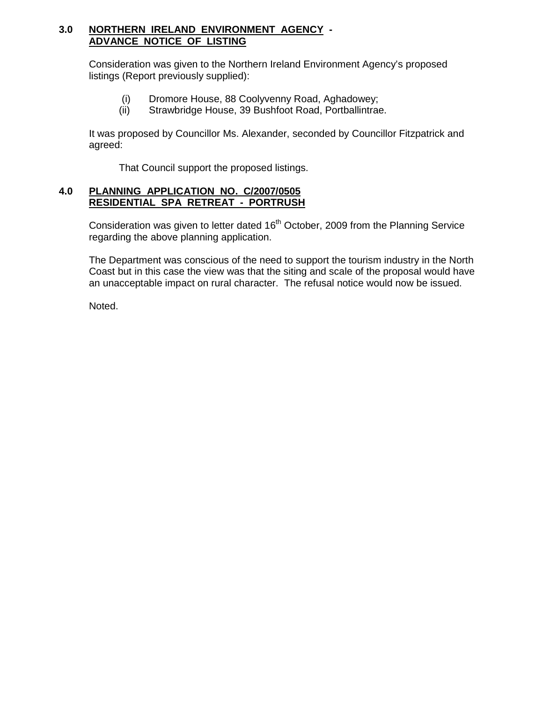### **3.0 NORTHERN IRELAND ENVIRONMENT AGENCY - ADVANCE NOTICE OF LISTING**

 Consideration was given to the Northern Ireland Environment Agency's proposed listings (Report previously supplied):

- (i) Dromore House, 88 Coolyvenny Road, Aghadowey;
- (ii) Strawbridge House, 39 Bushfoot Road, Portballintrae.

 It was proposed by Councillor Ms. Alexander, seconded by Councillor Fitzpatrick and agreed:

That Council support the proposed listings.

#### **4.0 PLANNING APPLICATION NO. C/2007/0505 RESIDENTIAL SPA RETREAT - PORTRUSH**

Consideration was given to letter dated 16<sup>th</sup> October, 2009 from the Planning Service regarding the above planning application.

 The Department was conscious of the need to support the tourism industry in the North Coast but in this case the view was that the siting and scale of the proposal would have an unacceptable impact on rural character. The refusal notice would now be issued.

Noted.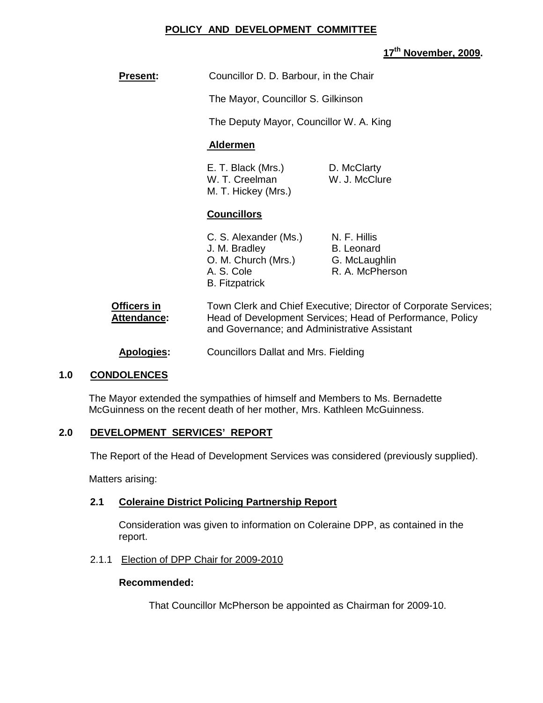#### **POLICY AND DEVELOPMENT COMMITTEE**

# **17th November, 2009.**

| <b>Present:</b> | Councillor D. D. Barbour, in the Chair |
|-----------------|----------------------------------------|
|                 |                                        |

The Mayor, Councillor S. Gilkinson

The Deputy Mayor, Councillor W. A. King

#### **Aldermen**

E. T. Black (Mrs.) D. McClarty W. T. Creelman W. J. McClure M. T. Hickey (Mrs.)

#### **Councillors**

C. S. Alexander (Ms.) N. F. Hillis J. M. Bradley B. Leonard O. M. Church (Mrs.) G. McLaughlin A. S. Cole R. A. McPherson B. Fitzpatrick

| Officers in        | Town Clerk and Chief Executive; Director of Corporate Services; |
|--------------------|-----------------------------------------------------------------|
| <b>Attendance:</b> | Head of Development Services; Head of Performance, Policy       |
|                    | and Governance; and Administrative Assistant                    |
|                    |                                                                 |

**Apologies:** Councillors Dallat and Mrs. Fielding

#### **1.0 CONDOLENCES**

The Mayor extended the sympathies of himself and Members to Ms. Bernadette McGuinness on the recent death of her mother, Mrs. Kathleen McGuinness.

#### **2.0 DEVELOPMENT SERVICES' REPORT**

The Report of the Head of Development Services was considered (previously supplied).

Matters arising:

#### **2.1 Coleraine District Policing Partnership Report**

Consideration was given to information on Coleraine DPP, as contained in the report.

#### 2.1.1 Election of DPP Chair for 2009-2010

#### **Recommended:**

That Councillor McPherson be appointed as Chairman for 2009-10.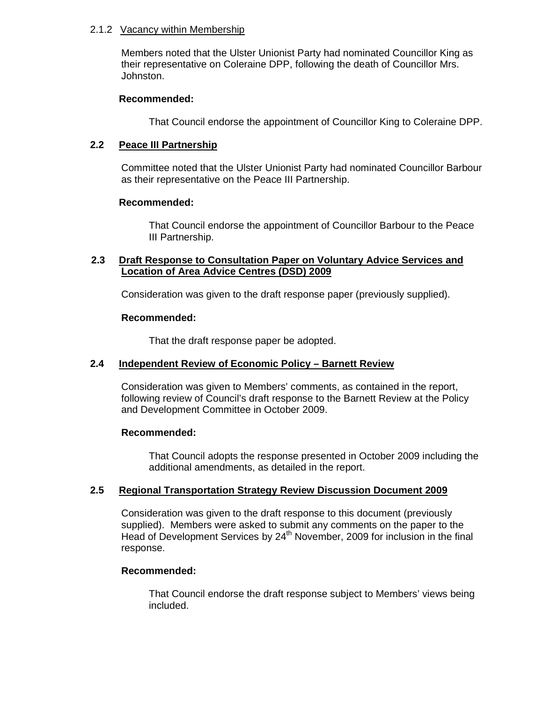#### 2.1.2 Vacancy within Membership

 Members noted that the Ulster Unionist Party had nominated Councillor King as their representative on Coleraine DPP, following the death of Councillor Mrs. Johnston.

#### **Recommended:**

That Council endorse the appointment of Councillor King to Coleraine DPP.

#### **2.2 Peace III Partnership**

Committee noted that the Ulster Unionist Party had nominated Councillor Barbour as their representative on the Peace III Partnership.

#### **Recommended:**

That Council endorse the appointment of Councillor Barbour to the Peace III Partnership.

#### **2.3 Draft Response to Consultation Paper on Voluntary Advice Services and Location of Area Advice Centres (DSD) 2009**

Consideration was given to the draft response paper (previously supplied).

#### **Recommended:**

That the draft response paper be adopted.

#### **2.4 Independent Review of Economic Policy – Barnett Review**

Consideration was given to Members' comments, as contained in the report, following review of Council's draft response to the Barnett Review at the Policy and Development Committee in October 2009.

#### **Recommended:**

That Council adopts the response presented in October 2009 including the additional amendments, as detailed in the report.

#### **2.5 Regional Transportation Strategy Review Discussion Document 2009**

Consideration was given to the draft response to this document (previously supplied). Members were asked to submit any comments on the paper to the Head of Development Services by  $24<sup>th</sup>$  November, 2009 for inclusion in the final response.

#### **Recommended:**

That Council endorse the draft response subject to Members' views being included.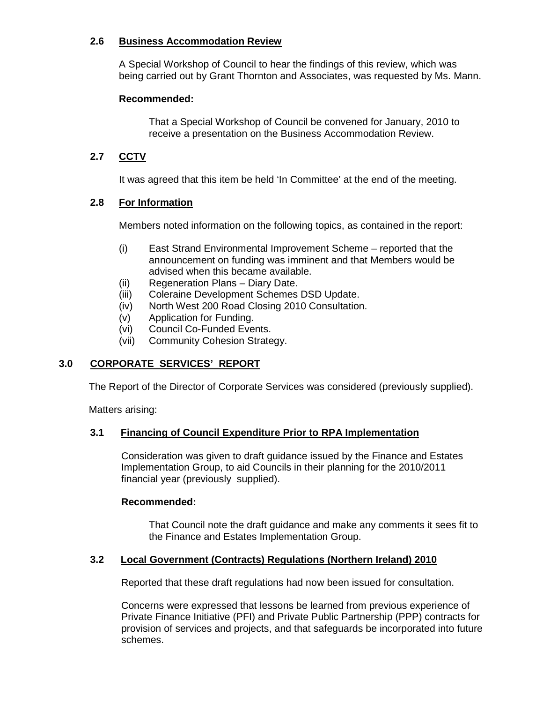## **2.6 Business Accommodation Review**

A Special Workshop of Council to hear the findings of this review, which was being carried out by Grant Thornton and Associates, was requested by Ms. Mann.

# **Recommended:**

That a Special Workshop of Council be convened for January, 2010 to receive a presentation on the Business Accommodation Review.

# **2.7 CCTV**

It was agreed that this item be held 'In Committee' at the end of the meeting.

# **2.8 For Information**

Members noted information on the following topics, as contained in the report:

- (i) East Strand Environmental Improvement Scheme reported that the announcement on funding was imminent and that Members would be advised when this became available.
- (ii) Regeneration Plans Diary Date.
- (iii) Coleraine Development Schemes DSD Update.
- (iv) North West 200 Road Closing 2010 Consultation.
- (v) Application for Funding.
- (vi) Council Co-Funded Events.
- (vii) Community Cohesion Strategy.

# **3.0 CORPORATE SERVICES' REPORT**

The Report of the Director of Corporate Services was considered (previously supplied).

Matters arising:

#### **3.1 Financing of Council Expenditure Prior to RPA Implementation**

Consideration was given to draft guidance issued by the Finance and Estates Implementation Group, to aid Councils in their planning for the 2010/2011 financial year (previously supplied).

#### **Recommended:**

 That Council note the draft guidance and make any comments it sees fit to the Finance and Estates Implementation Group.

#### **3.2 Local Government (Contracts) Regulations (Northern Ireland) 2010**

Reported that these draft regulations had now been issued for consultation.

Concerns were expressed that lessons be learned from previous experience of Private Finance Initiative (PFI) and Private Public Partnership (PPP) contracts for provision of services and projects, and that safeguards be incorporated into future schemes.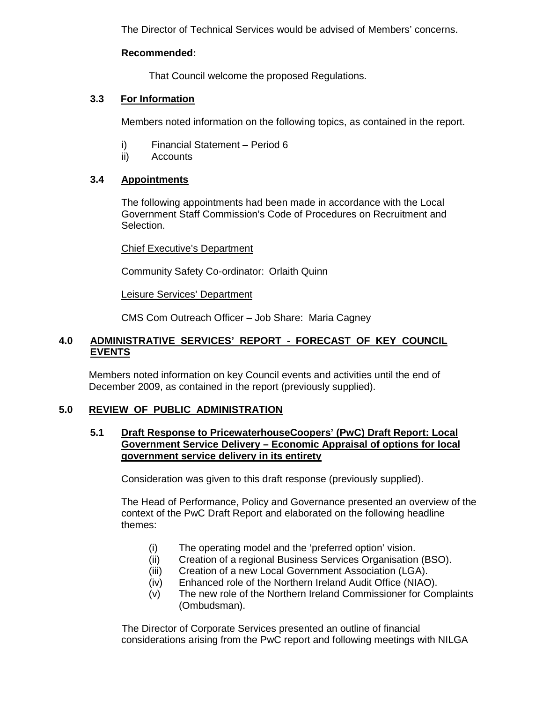The Director of Technical Services would be advised of Members' concerns.

#### **Recommended:**

That Council welcome the proposed Regulations.

# **3.3 For Information**

Members noted information on the following topics, as contained in the report.

- i) Financial Statement Period 6
- ii) Accounts

# **3.4 Appointments**

The following appointments had been made in accordance with the Local Government Staff Commission's Code of Procedures on Recruitment and Selection.

#### Chief Executive's Department

Community Safety Co-ordinator: Orlaith Quinn

Leisure Services' Department

CMS Com Outreach Officer – Job Share: Maria Cagney

# **4.0 ADMINISTRATIVE SERVICES' REPORT - FORECAST OF KEY COUNCIL EVENTS**

Members noted information on key Council events and activities until the end of December 2009, as contained in the report (previously supplied).

# **5.0 REVIEW OF PUBLIC ADMINISTRATION**

#### **5.1 Draft Response to PricewaterhouseCoopers' (PwC) Draft Report: Local Government Service Delivery – Economic Appraisal of options for local government service delivery in its entirety**

Consideration was given to this draft response (previously supplied).

 The Head of Performance, Policy and Governance presented an overview of the context of the PwC Draft Report and elaborated on the following headline themes:

- (i) The operating model and the 'preferred option' vision.
- (ii) Creation of a regional Business Services Organisation (BSO).
- (iii) Creation of a new Local Government Association (LGA).
- (iv) Enhanced role of the Northern Ireland Audit Office (NIAO).
- (v) The new role of the Northern Ireland Commissioner for Complaints (Ombudsman).

 The Director of Corporate Services presented an outline of financial considerations arising from the PwC report and following meetings with NILGA